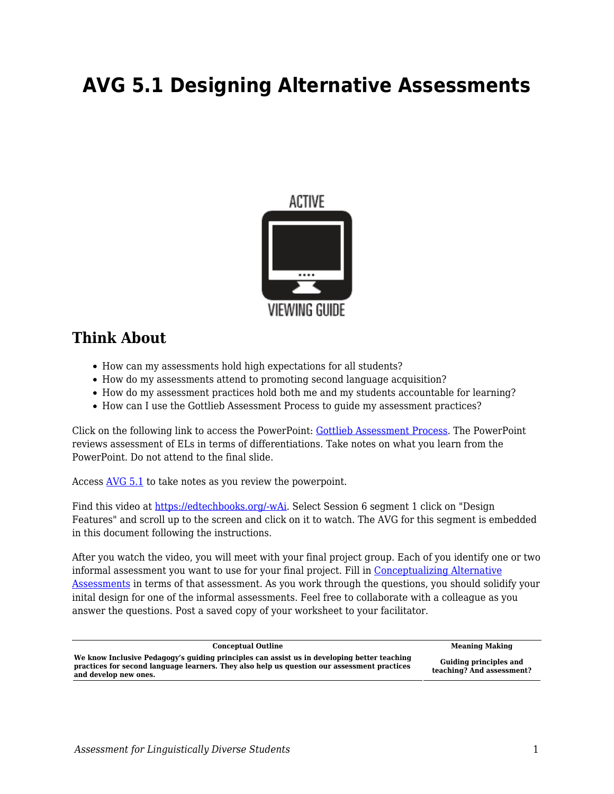# **AVG 5.1 Designing Alternative Assessments**



## **Think About**

- How can my assessments hold high expectations for all students?
- How do my assessments attend to promoting second language acquisition?
- How do my assessment practices hold both me and my students accountable for learning?
- How can I use the Gottlieb Assessment Process to guide my assessment practices?

Click on the following link to access the PowerPoint: [Gottlieb Assessment Process](https://byu.box.com/s/ny0y0xff5lh9bfl3yc2v5ezzcf5qzea9). The PowerPoint reviews assessment of ELs in terms of differentiations. Take notes on what you learn from the PowerPoint. Do not attend to the final slide.

Access [AVG 5.1](https://byu.box.com/s/1cbmkh9vudkbwqhwrzgk5xrqcuwqx8xg) to take notes as you review the powerpoint.

Find this video at [https://edtechbooks.org/-wAi.](https://education.byu.edu/tellvideolibrary/diverseStudents) Select Session 6 segment 1 click on "Design Features" and scroll up to the screen and click on it to watch. The AVG for this segment is embedded in this document following the instructions.

After you watch the video, you will meet with your final project group. Each of you identify one or two informal assessment you want to use for your final project. Fill in [Conceptualizing Alternative](https://byu.box.com/s/e3o7zyasw2oq6vfjdsd10evabwqkiaif) [Assessments](https://byu.box.com/s/e3o7zyasw2oq6vfjdsd10evabwqkiaif) in terms of that assessment. As you work through the questions, you should solidify your inital design for one of the informal assessments. Feel free to collaborate with a colleague as you answer the questions. Post a saved copy of your worksheet to your facilitator.

| <b>Conceptual Outline</b>                                                                                                                                                                                           | <b>Meaning Making</b>                               |
|---------------------------------------------------------------------------------------------------------------------------------------------------------------------------------------------------------------------|-----------------------------------------------------|
| We know Inclusive Pedagogy's guiding principles can assist us in developing better teaching<br>practices for second language learners. They also help us question our assessment practices<br>and develop new ones. | Guiding principles and<br>teaching? And assessment? |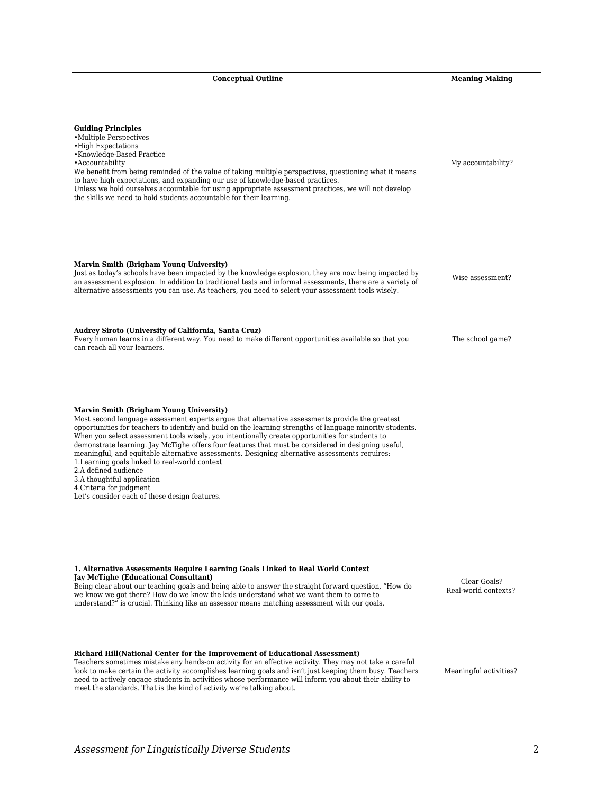**Conceptual Outline Meaning Making** 

| <b>Guiding Principles</b><br>• Multiple Perspectives<br>• High Expectations<br>• Knowledge-Based Practice<br>• Accountability<br>We benefit from being reminded of the value of taking multiple perspectives, questioning what it means<br>to have high expectations, and expanding our use of knowledge-based practices.<br>Unless we hold ourselves accountable for using appropriate assessment practices, we will not develop<br>the skills we need to hold students accountable for their learning.                                                                                                                                                                                                                                                 | My accountability?                   |
|----------------------------------------------------------------------------------------------------------------------------------------------------------------------------------------------------------------------------------------------------------------------------------------------------------------------------------------------------------------------------------------------------------------------------------------------------------------------------------------------------------------------------------------------------------------------------------------------------------------------------------------------------------------------------------------------------------------------------------------------------------|--------------------------------------|
| Marvin Smith (Brigham Young University)<br>Just as today's schools have been impacted by the knowledge explosion, they are now being impacted by<br>an assessment explosion. In addition to traditional tests and informal assessments, there are a variety of<br>alternative assessments you can use. As teachers, you need to select your assessment tools wisely.                                                                                                                                                                                                                                                                                                                                                                                     | Wise assessment?                     |
| Audrey Siroto (University of California, Santa Cruz)<br>Every human learns in a different way. You need to make different opportunities available so that you<br>can reach all your learners.                                                                                                                                                                                                                                                                                                                                                                                                                                                                                                                                                            | The school game?                     |
| Marvin Smith (Brigham Young University)<br>Most second language assessment experts argue that alternative assessments provide the greatest<br>opportunities for teachers to identify and build on the learning strengths of language minority students.<br>When you select assessment tools wisely, you intentionally create opportunities for students to<br>demonstrate learning. Jay McTighe offers four features that must be considered in designing useful,<br>meaningful, and equitable alternative assessments. Designing alternative assessments requires:<br>1. Learning goals linked to real-world context<br>2.A defined audience<br>3.A thoughtful application<br>4. Criteria for judgment<br>Let's consider each of these design features. |                                      |
| 1. Alternative Assessments Require Learning Goals Linked to Real World Context<br><b>Jay McTighe (Educational Consultant)</b><br>Being clear about our teaching goals and being able to answer the straight forward question, "How do<br>we know we got there? How do we know the kids understand what we want them to come to<br>understand?" is crucial. Thinking like an assessor means matching assessment with our goals.                                                                                                                                                                                                                                                                                                                           | Clear Goals?<br>Real-world contexts? |
| Richard Hill (National Center for the Improvement of Educational Assessment)<br>Teachers sometimes mistake any hands-on activity for an effective activity. They may not take a careful<br>look to make certain the activity accomplishes learning goals and isn't just keeping them busy. Teachers<br>need to actively engage students in activities whose performance will inform you about their ability to<br>meet the standards. That is the kind of activity we're talking about.                                                                                                                                                                                                                                                                  | Meaningful activities?               |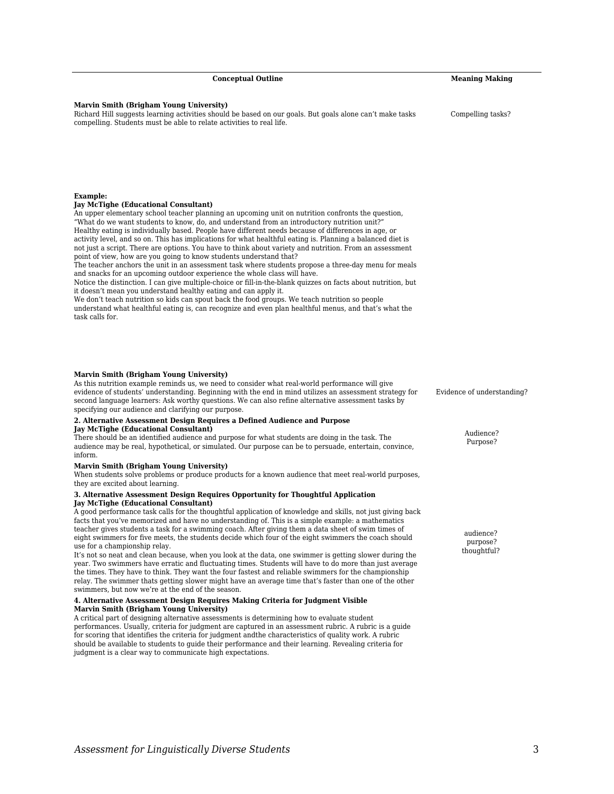| Marvin Smith (Brigham Young University)<br>As this nutrition example reminds us, we need to consider what real-world performance will give<br>evidence of students' understanding. Beginning with the end in mind utilizes an assessment strategy<br>second language learners: Ask worthy questions. We can also refine alternative assessment tasks by<br>specifying our audience and clarifying our purpose.                                                                |
|-------------------------------------------------------------------------------------------------------------------------------------------------------------------------------------------------------------------------------------------------------------------------------------------------------------------------------------------------------------------------------------------------------------------------------------------------------------------------------|
| 2. Alternative Assessment Design Requires a Defined Audience and Purpose                                                                                                                                                                                                                                                                                                                                                                                                      |
| <b>Jay McTighe (Educational Consultant)</b><br>There should be an identified audience and purpose for what students are doing in the task. The<br>audience may be real, hypothetical, or simulated. Our purpose can be to persuade, entertain, convin<br>inform.                                                                                                                                                                                                              |
| Marvin Smith (Brigham Young University)<br>When students solve problems or produce products for a known audience that meet real-world purp<br>they are excited about learning.                                                                                                                                                                                                                                                                                                |
| 3. Alternative Assessment Design Requires Opportunity for Thoughtful Application<br>Jay McTighe (Educational Consultant)                                                                                                                                                                                                                                                                                                                                                      |
| A good performance task calls for the thoughtful application of knowledge and skills, not just giving<br>facts that you've memorized and have no understanding of. This is a simple example: a mathematics<br>teacher gives students a task for a swimming coach. After giving them a data sheet of swim times of<br>eight swimmers for five meets, the students decide which four of the eight swimmers the coach shou<br>use for a championship relay.                      |
| It's not so neat and clean because, when you look at the data, one swimmer is getting slower during<br>year. Two swimmers have erratic and fluctuating times. Students will have to do more than just aver<br>the times. They have to think. They want the four fastest and reliable swimmers for the championshi<br>relay. The swimmer thats getting slower might have an average time that's faster than one of the ot<br>swimmers, but now we're at the end of the season. |
| 4. Alternative Assessment Design Requires Making Criteria for Judgment Visible<br>Marvin Smith (Brigham Young University)                                                                                                                                                                                                                                                                                                                                                     |

A critical part of designing alternative assessments is determining how to evaluate student performances. Usually, criteria for judgment are captured in an assessment rubric. A rubric is a guide for scoring that identifies the criteria for judgment andthe characteristics of quality work. A rubric should be available to students to guide their performance and their learning. Revealing criteria for judgment is a clear way to communicate high expectations.

### **Marvin Smith (Brigham Young University)**

Richard Hill suggests learning activities should be based on our goals. But goals alone can't make tasks compelling. Students must be able to relate activities to real life.

## **Example:**

#### **Jay McTighe (Educational Consultant)**

An upper elementary school teacher planning an upcoming unit on nutrition confronts the question, "What do we want students to know, do, and understand from an introductory nutrition unit?" Healthy eating is individually based. People have different needs because of differences in age, or activity level, and so on. This has implications for what healthful eating is. Planning a balanced diet is

not just a script. There are options. You have to think about variety and nutrition. From an assessment point of view, how are you going to know students understand that?

The teacher anchors the unit in an assessment task where students propose a three-day menu for meals and snacks for an upcoming outdoor experience the whole class will have.

Notice the distinction. I can give multiple-choice or fill-in-the-blank quizzes on facts about nutrition, but it doesn't mean you understand healthy eating and can apply it.

We don't teach nutrition so kids can spout back the food groups. We teach nutrition so people understand what healthful eating is, can recognize and even plan healthful menus, and that's what the task calls for.

#### **Marvin Smith (Brigham Young University)**

## **2. Alternative Assessment Design Requires a Defined Audience and Purpose**

## **3. Alternative Assessment Design Requires Opportunity for Thoughtful Application**

A good performance task calls for the thoughtful application of knowledge and skills, not just giving back facts that you've memorized and have no understanding of. This is a simple example: a mathematics teacher gives students a task for a swimming coach. After giving them a data sheet of swim times of eight swimmers for five meets, the students decide which four of the eight swimmers the coach should use for a championship relay.

## **4. Alternative Assessment Design Requires Making Criteria for Judgment Visible**

*Assessment for Linguistically Diverse Students* 3

Evidence of understanding?

Audience? Purpose?

audience? purpose? thoughtful?

**Conceptual Outline Meaning Making** 

Compelling tasks?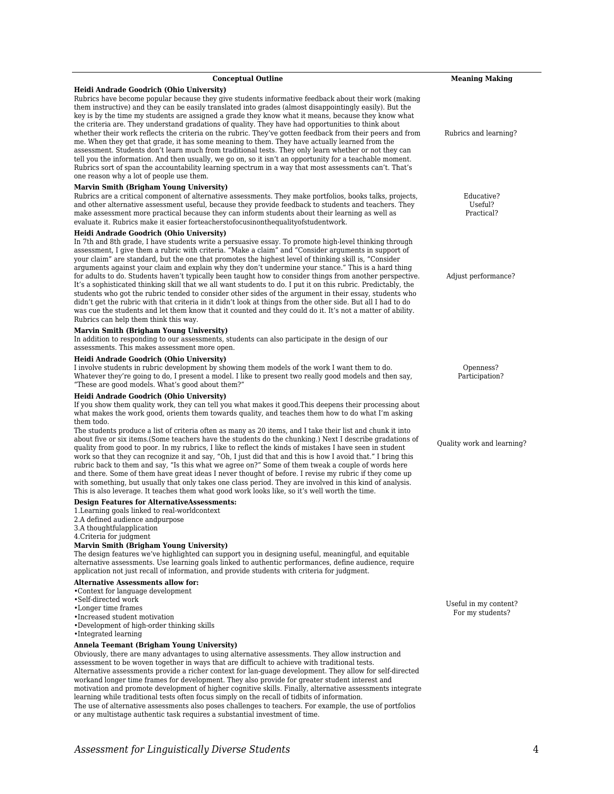| <b>Conceptual Outline</b>                                                                                                                                                                                                                                                                                                                                                                                                                                                                                                                                                                                                                                                                                                                                                                                                                                                                                                                                                                                                                                                                     | <b>Meaning Making</b>               |
|-----------------------------------------------------------------------------------------------------------------------------------------------------------------------------------------------------------------------------------------------------------------------------------------------------------------------------------------------------------------------------------------------------------------------------------------------------------------------------------------------------------------------------------------------------------------------------------------------------------------------------------------------------------------------------------------------------------------------------------------------------------------------------------------------------------------------------------------------------------------------------------------------------------------------------------------------------------------------------------------------------------------------------------------------------------------------------------------------|-------------------------------------|
| Heidi Andrade Goodrich (Ohio University)<br>Rubrics have become popular because they give students informative feedback about their work (making<br>them instructive) and they can be easily translated into grades (almost disappointingly easily). But the<br>key is by the time my students are assigned a grade they know what it means, because they know what<br>the criteria are. They understand gradations of quality. They have had opportunities to think about<br>whether their work reflects the criteria on the rubric. They've gotten feedback from their peers and from<br>me. When they get that grade, it has some meaning to them. They have actually learned from the<br>assessment. Students don't learn much from traditional tests. They only learn whether or not they can<br>tell you the information. And then usually, we go on, so it isn't an opportunity for a teachable moment.<br>Rubrics sort of span the accountability learning spectrum in a way that most assessments can't. That's<br>one reason why a lot of people use them.                          | Rubrics and learning?               |
| Marvin Smith (Brigham Young University)                                                                                                                                                                                                                                                                                                                                                                                                                                                                                                                                                                                                                                                                                                                                                                                                                                                                                                                                                                                                                                                       |                                     |
| Rubrics are a critical component of alternative assessments. They make portfolios, books talks, projects,<br>and other alternative assessment useful, because they provide feedback to students and teachers. They<br>make assessment more practical because they can inform students about their learning as well as<br>evaluate it. Rubrics make it easier forteacherstofocusinonthequality of studentwork.                                                                                                                                                                                                                                                                                                                                                                                                                                                                                                                                                                                                                                                                                 | Educative?<br>Useful?<br>Practical? |
| Heidi Andrade Goodrich (Ohio University)<br>In 7th and 8th grade, I have students write a persuasive essay. To promote high-level thinking through<br>assessment, I give them a rubric with criteria. "Make a claim" and "Consider arguments in support of<br>your claim" are standard, but the one that promotes the highest level of thinking skill is, "Consider<br>arguments against your claim and explain why they don't undermine your stance." This is a hard thing<br>for adults to do. Students haven't typically been taught how to consider things from another perspective.<br>It's a sophisticated thinking skill that we all want students to do. I put it on this rubric. Predictably, the<br>students who got the rubric tended to consider other sides of the argument in their essay, students who<br>didn't get the rubric with that criteria in it didn't look at things from the other side. But all I had to do<br>was cue the students and let them know that it counted and they could do it. It's not a matter of ability.<br>Rubrics can help them think this way. | Adjust performance?                 |
| Marvin Smith (Brigham Young University)<br>In addition to responding to our assessments, students can also participate in the design of our<br>assessments. This makes assessment more open.                                                                                                                                                                                                                                                                                                                                                                                                                                                                                                                                                                                                                                                                                                                                                                                                                                                                                                  |                                     |
| Heidi Andrade Goodrich (Ohio University)                                                                                                                                                                                                                                                                                                                                                                                                                                                                                                                                                                                                                                                                                                                                                                                                                                                                                                                                                                                                                                                      |                                     |
| I involve students in rubric development by showing them models of the work I want them to do.<br>Whatever they're going to do, I present a model. I like to present two really good models and then say,<br>"These are good models. What's good about them?"                                                                                                                                                                                                                                                                                                                                                                                                                                                                                                                                                                                                                                                                                                                                                                                                                                 | Openness?<br>Participation?         |
| Heidi Andrade Goodrich (Ohio University)<br>If you show them quality work, they can tell you what makes it good. This deepens their processing about<br>what makes the work good, orients them towards quality, and teaches them how to do what I'm asking<br>them todo.                                                                                                                                                                                                                                                                                                                                                                                                                                                                                                                                                                                                                                                                                                                                                                                                                      |                                     |
| The students produce a list of criteria often as many as 20 items, and I take their list and chunk it into<br>about five or six items. (Some teachers have the students do the chunking.) Next I describe gradations of<br>quality from good to poor. In my rubrics, I like to reflect the kinds of mistakes I have seen in student<br>work so that they can recognize it and say, "Oh, I just did that and this is how I avoid that." I bring this<br>rubric back to them and say, "Is this what we agree on?" Some of them tweak a couple of words here<br>and there. Some of them have great ideas I never thought of before. I revise my rubric if they come up<br>with something, but usually that only takes one class period. They are involved in this kind of analysis.<br>This is also leverage. It teaches them what good work looks like, so it's well worth the time.                                                                                                                                                                                                            | Quality work and learning?          |
| <b>Design Features for AlternativeAssessments:</b><br>1. Learning goals linked to real-worldcontext                                                                                                                                                                                                                                                                                                                                                                                                                                                                                                                                                                                                                                                                                                                                                                                                                                                                                                                                                                                           |                                     |
| 2.A defined audience andpurpose                                                                                                                                                                                                                                                                                                                                                                                                                                                                                                                                                                                                                                                                                                                                                                                                                                                                                                                                                                                                                                                               |                                     |
| 3.A thoughtfulapplication                                                                                                                                                                                                                                                                                                                                                                                                                                                                                                                                                                                                                                                                                                                                                                                                                                                                                                                                                                                                                                                                     |                                     |
| 4. Criteria for judgment                                                                                                                                                                                                                                                                                                                                                                                                                                                                                                                                                                                                                                                                                                                                                                                                                                                                                                                                                                                                                                                                      |                                     |
| Marvin Smith (Brigham Young University)                                                                                                                                                                                                                                                                                                                                                                                                                                                                                                                                                                                                                                                                                                                                                                                                                                                                                                                                                                                                                                                       |                                     |
| The design features we've highlighted can support you in designing useful, meaningful, and equitable<br>alternative assessments. Use learning goals linked to authentic performances, define audience, require                                                                                                                                                                                                                                                                                                                                                                                                                                                                                                                                                                                                                                                                                                                                                                                                                                                                                |                                     |
| application not just recall of information, and provide students with criteria for judgment.                                                                                                                                                                                                                                                                                                                                                                                                                                                                                                                                                                                                                                                                                                                                                                                                                                                                                                                                                                                                  |                                     |

#### **Alternative Assessments allow for:**

•Context for language development

•Self-directed work

•Longer time frames

- •Increased student motivation
- •Development of high-order thinking skills
- •Integrated learning

## **Annela Teemant (Brigham Young University)**

Obviously, there are many advantages to using alternative assessments. They allow instruction and assessment to be woven together in ways that are difficult to achieve with traditional tests. Alternative assessments provide a richer context for lan-guage development. They allow for self-directed workand longer time frames for development. They also provide for greater student interest and motivation and promote development of higher cognitive skills. Finally, alternative assessments integrate learning while traditional tests often focus simply on the recall of tidbits of information. The use of alternative assessments also poses challenges to teachers. For example, the use of portfolios or any multistage authentic task requires a substantial investment of time.

Useful in my content? For my students?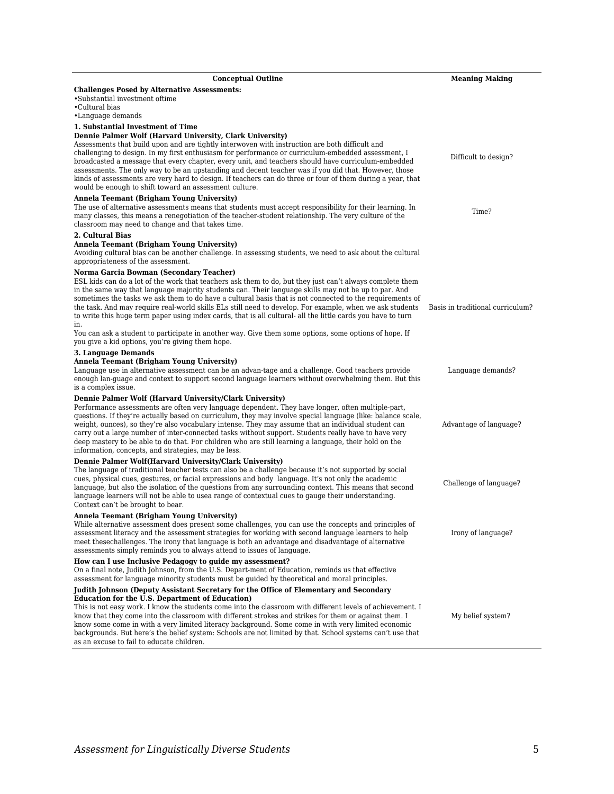| <b>Conceptual Outline</b>                                                                                                                                                                                                                                                                                                                                                                                                                                                                                                                                                                                                                                                                                           | <b>Meaning Making</b>            |
|---------------------------------------------------------------------------------------------------------------------------------------------------------------------------------------------------------------------------------------------------------------------------------------------------------------------------------------------------------------------------------------------------------------------------------------------------------------------------------------------------------------------------------------------------------------------------------------------------------------------------------------------------------------------------------------------------------------------|----------------------------------|
| <b>Challenges Posed by Alternative Assessments:</b><br>•Substantial investment oftime<br>•Cultural bias<br>•Language demands                                                                                                                                                                                                                                                                                                                                                                                                                                                                                                                                                                                        |                                  |
| 1. Substantial Investment of Time<br>Dennie Palmer Wolf (Harvard University, Clark University)<br>Assessments that build upon and are tightly interwoven with instruction are both difficult and<br>challenging to design. In my first enthusiasm for performance or curriculum-embedded assessment, I<br>broadcasted a message that every chapter, every unit, and teachers should have curriculum-embedded<br>assessments. The only way to be an upstanding and decent teacher was if you did that. However, those<br>kinds of assessments are very hard to design. If teachers can do three or four of them during a year, that<br>would be enough to shift toward an assessment culture.                        | Difficult to design?             |
| Annela Teemant (Brigham Young University)<br>The use of alternative assessments means that students must accept responsibility for their learning. In<br>many classes, this means a renegotiation of the teacher-student relationship. The very culture of the<br>classroom may need to change and that takes time.                                                                                                                                                                                                                                                                                                                                                                                                 | Time?                            |
| 2. Cultural Bias<br>Annela Teemant (Brigham Young University)<br>Avoiding cultural bias can be another challenge. In assessing students, we need to ask about the cultural<br>appropriateness of the assessment.                                                                                                                                                                                                                                                                                                                                                                                                                                                                                                    |                                  |
| Norma Garcia Bowman (Secondary Teacher)<br>ESL kids can do a lot of the work that teachers ask them to do, but they just can't always complete them<br>in the same way that language majority students can. Their language skills may not be up to par. And<br>sometimes the tasks we ask them to do have a cultural basis that is not connected to the requirements of<br>the task. And may require real-world skills ELs still need to develop. For example, when we ask students<br>to write this huge term paper using index cards, that is all cultural- all the little cards you have to turn<br>in.<br>You can ask a student to participate in another way. Give them some options, some options of hope. If | Basis in traditional curriculum? |
| you give a kid options, you're giving them hope.                                                                                                                                                                                                                                                                                                                                                                                                                                                                                                                                                                                                                                                                    |                                  |
| <b>3. Language Demands</b><br>Annela Teemant (Brigham Young University)<br>Language use in alternative assessment can be an advan-tage and a challenge. Good teachers provide<br>enough lan-guage and context to support second language learners without overwhelming them. But this<br>is a complex issue.                                                                                                                                                                                                                                                                                                                                                                                                        | Language demands?                |
| Dennie Palmer Wolf (Harvard University/Clark University)<br>Performance assessments are often very language dependent. They have longer, often multiple-part,<br>questions. If they're actually based on curriculum, they may involve special language (like: balance scale,<br>weight, ounces), so they're also vocabulary intense. They may assume that an individual student can<br>carry out a large number of inter-connected tasks without support. Students really have to have very<br>deep mastery to be able to do that. For children who are still learning a language, their hold on the<br>information, concepts, and strategies, may be less.                                                         | Advantage of language?           |
| Dennie Palmer Wolf(Harvard University/Clark University)<br>The language of traditional teacher tests can also be a challenge because it's not supported by social<br>cues, physical cues, gestures, or facial expressions and body language. It's not only the academic<br>language, but also the isolation of the questions from any surrounding context. This means that second<br>language learners will not be able to use arange of contextual cues to gauge their understanding.<br>Context can't be brought to bear.                                                                                                                                                                                         | Challenge of language?           |
| Annela Teemant (Brigham Young University)<br>While alternative assessment does present some challenges, you can use the concepts and principles of<br>assessment literacy and the assessment strategies for working with second language learners to help<br>meet these challenges. The irony that language is both an advantage and disadvantage of alternative<br>assessments simply reminds you to always attend to issues of language.                                                                                                                                                                                                                                                                          | Irony of language?               |
| How can I use Inclusive Pedagogy to guide my assessment?<br>On a final note, Judith Johnson, from the U.S. Depart-ment of Education, reminds us that effective<br>assessment for language minority students must be quided by theoretical and moral principles.                                                                                                                                                                                                                                                                                                                                                                                                                                                     |                                  |
| Judith Johnson (Deputy Assistant Secretary for the Office of Elementary and Secondary                                                                                                                                                                                                                                                                                                                                                                                                                                                                                                                                                                                                                               |                                  |
| <b>Education for the U.S. Department of Education)</b><br>This is not easy work. I know the students come into the classroom with different levels of achievement. I<br>know that they come into the classroom with different strokes and strikes for them or against them. I<br>know some come in with a very limited literacy background. Some come in with very limited economic<br>backgrounds. But here's the belief system: Schools are not limited by that. School systems can't use that<br>as an excuse to fail to educate children.                                                                                                                                                                       | My belief system?                |